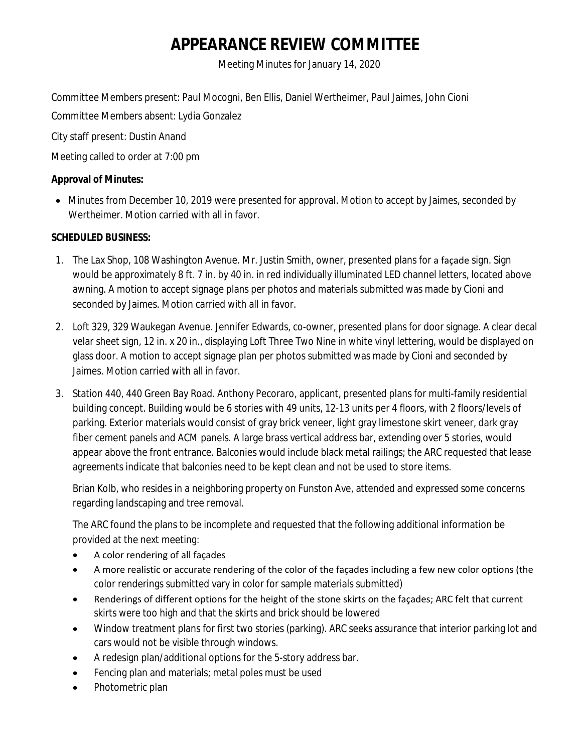# **APPEARANCE REVIEW COMMITTEE**

Meeting Minutes for January 14, 2020

Committee Members present: Paul Mocogni, Ben Ellis, Daniel Wertheimer, Paul Jaimes, John Cioni

Committee Members absent: Lydia Gonzalez

City staff present: Dustin Anand

Meeting called to order at 7:00 pm

### **Approval of Minutes:**

 Minutes from December 10, 2019 were presented for approval. Motion to accept by Jaimes, seconded by Wertheimer. Motion carried with all in favor.

## **SCHEDULED BUSINESS:**

- 1. The Lax Shop, 108 Washington Avenue. Mr. Justin Smith, owner, presented plans for a façade sign. Sign would be approximately 8 ft. 7 in. by 40 in. in red individually illuminated LED channel letters, located above awning. A motion to accept signage plans per photos and materials submitted was made by Cioni and seconded by Jaimes. Motion carried with all in favor.
- 2. Loft 329, 329 Waukegan Avenue. Jennifer Edwards, co-owner, presented plans for door signage. A clear decal velar sheet sign, 12 in. x 20 in., displaying Loft Three Two Nine in white vinyl lettering, would be displayed on glass door. A motion to accept signage plan per photos submitted was made by Cioni and seconded by Jaimes. Motion carried with all in favor.
- 3. Station 440, 440 Green Bay Road. Anthony Pecoraro, applicant, presented plans for multi-family residential building concept. Building would be 6 stories with 49 units, 12-13 units per 4 floors, with 2 floors/levels of parking. Exterior materials would consist of gray brick veneer, light gray limestone skirt veneer, dark gray fiber cement panels and ACM panels. A large brass vertical address bar, extending over 5 stories, would appear above the front entrance. Balconies would include black metal railings; the ARC requested that lease agreements indicate that balconies need to be kept clean and not be used to store items.

Brian Kolb, who resides in a neighboring property on Funston Ave, attended and expressed some concerns regarding landscaping and tree removal.

The ARC found the plans to be incomplete and requested that the following additional information be provided at the next meeting:

- A color rendering of all façades
- A more realistic or accurate rendering of the color of the façades including a few new color options (the color renderings submitted vary in color for sample materials submitted)
- Renderings of different options for the height of the stone skirts on the façades; ARC felt that current skirts were too high and that the skirts and brick should be lowered
- Window treatment plans for first two stories (parking). ARC seeks assurance that interior parking lot and cars would not be visible through windows.
- A redesign plan/additional options for the 5-story address bar.
- Fencing plan and materials; metal poles must be used
- Photometric plan